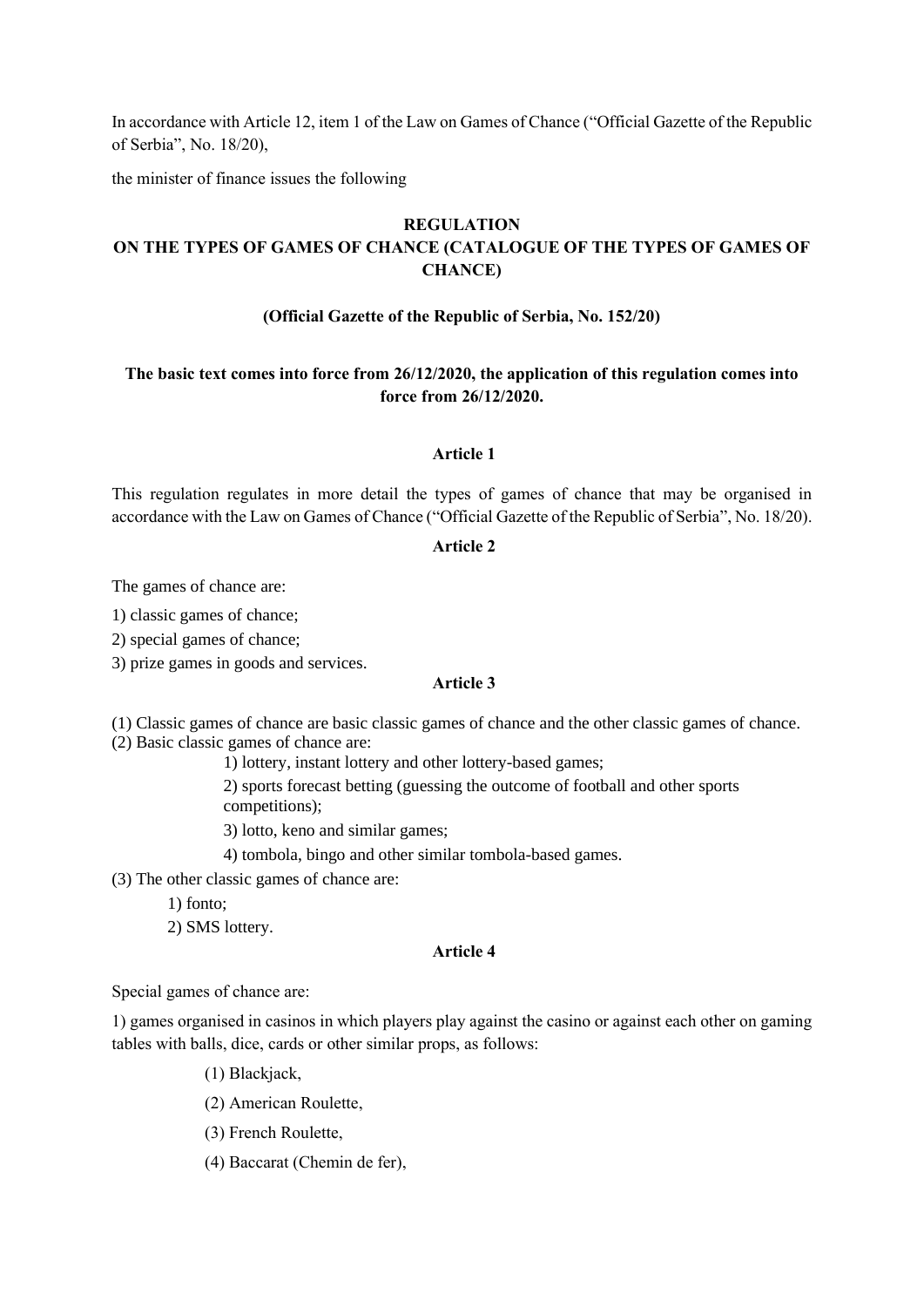In accordance with Article 12, item 1 of the Law on Games of Chance ("Official Gazette of the Republic of Serbia", No. 18/20),

the minister of finance issues the following

# **REGULATION**

# **ON THE TYPES OF GAMES OF CHANCE (CATALOGUE OF THE TYPES OF GAMES OF CHANCE)**

### **(Official Gazette of the Republic of Serbia, No. 152/20)**

# **The basic text comes into force from 26/12/2020, the application of this regulation comes into force from 26/12/2020.**

## **Article 1**

This regulation regulates in more detail the types of games of chance that may be organised in accordance with the Law on Games of Chance ("Official Gazette of the Republic of Serbia", No. 18/20).

### **Article 2**

The games of chance are:

1) classic games of chance;

2) special games of chance;

3) prize games in goods and services.

#### **Article 3**

(1) Classic games of chance are basic classic games of chance and the other classic games of chance. (2) Basic classic games of chance are:

1) lottery, instant lottery and other lottery-based games;

2) sports forecast betting (guessing the outcome of football and other sports competitions);

3) lotto, keno and similar games;

4) tombola, bingo and other similar tombola-based games.

(3) The other classic games of chance are:

1) fonto;

2) SMS lottery.

### **Article 4**

Special games of chance are:

1) games organised in casinos in which players play against the casino or against each other on gaming tables with balls, dice, cards or other similar props, as follows:

- (1) Blackjack,
- (2) American Roulette,
- (3) French Roulette,
- (4) Baccarat (Chemin de fer),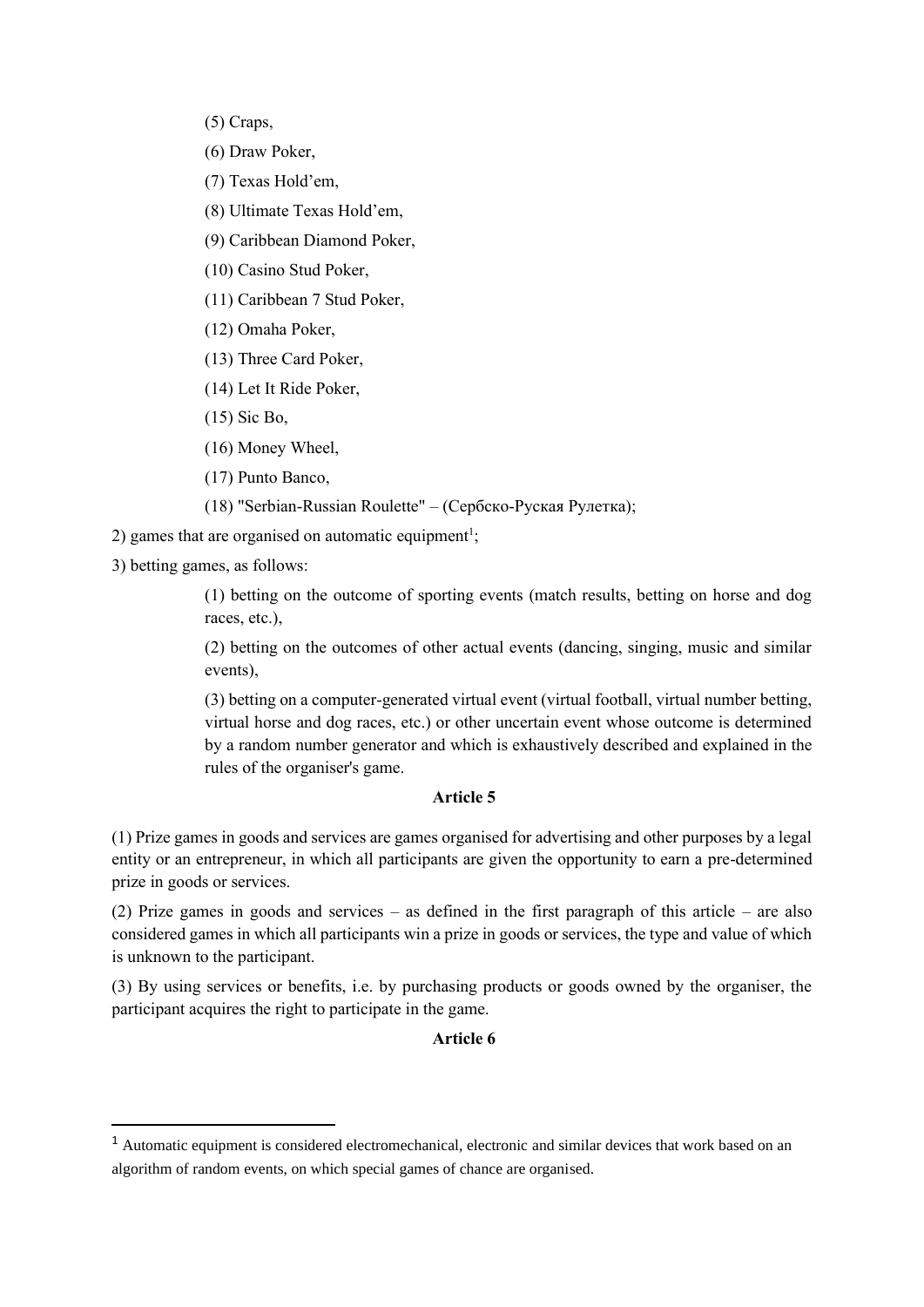(5) Craps,

(6) Draw Poker,

- (7) Texas Hold'em,
- (8) Ultimate Texas Hold'em,
- (9) Caribbean Diamond Poker,
- (10) Casino Stud Poker,

(11) Caribbean 7 Stud Poker,

- (12) Omaha Poker,
- (13) Three Card Poker,
- (14) Let It Ride Poker,
- (15) Sic Bo,
- (16) Money Wheel,
- (17) Punto Banco,
- (18) "Serbian-Russian Roulette" (Сербско-Руская Рулетка);
- 2) games that are organised on automatic equipment<sup>1</sup>;

3) betting games, as follows:

(1) betting on the outcome of sporting events (match results, betting on horse and dog races, etc.),

(2) betting on the outcomes of other actual events (dancing, singing, music and similar events),

(3) betting on a computer-generated virtual event (virtual football, virtual number betting, virtual horse and dog races, etc.) or other uncertain event whose outcome is determined by a random number generator and which is exhaustively described and explained in the rules of the organiser's game.

# **Article 5**

(1) Prize games in goods and services are games organised for advertising and other purposes by a legal entity or an entrepreneur, in which all participants are given the opportunity to earn a pre-determined prize in goods or services.

(2) Prize games in goods and services – as defined in the first paragraph of this article – are also considered games in which all participants win a prize in goods or services, the type and value of which is unknown to the participant.

(3) By using services or benefits, i.e. by purchasing products or goods owned by the organiser, the participant acquires the right to participate in the game.

### **Article 6**

<sup>&</sup>lt;sup>1</sup> Automatic equipment is considered electromechanical, electronic and similar devices that work based on an algorithm of random events, on which special games of chance are organised.